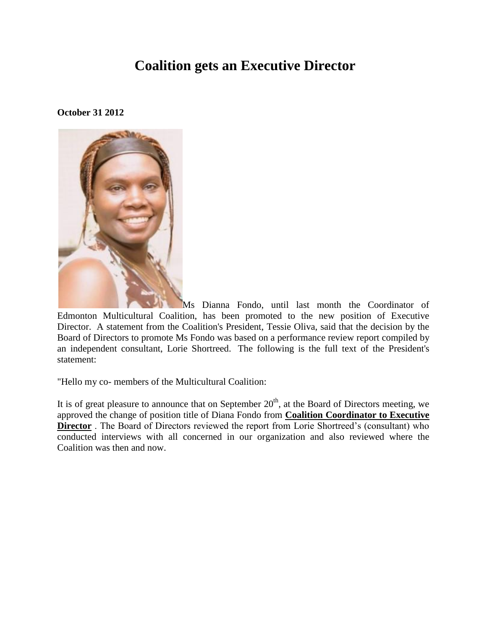## **Coalition gets an Executive Director**

## **October 31 2012**



Ms Dianna Fondo, until last month the Coordinator of Edmonton Multicultural Coalition, has been promoted to the new position of Executive Director. A statement from the Coalition's President, Tessie Oliva, said that the decision by the Board of Directors to promote Ms Fondo was based on a performance review report compiled by an independent consultant, Lorie Shortreed. The following is the full text of the President's statement:

"Hello my co- members of the Multicultural Coalition:

It is of great pleasure to announce that on September  $20<sup>th</sup>$ , at the Board of Directors meeting, we approved the change of position title of Diana Fondo from **Coalition Coordinator to Executive Director** . The Board of Directors reviewed the report from Lorie Shortreed's (consultant) who conducted interviews with all concerned in our organization and also reviewed where the Coalition was then and now.